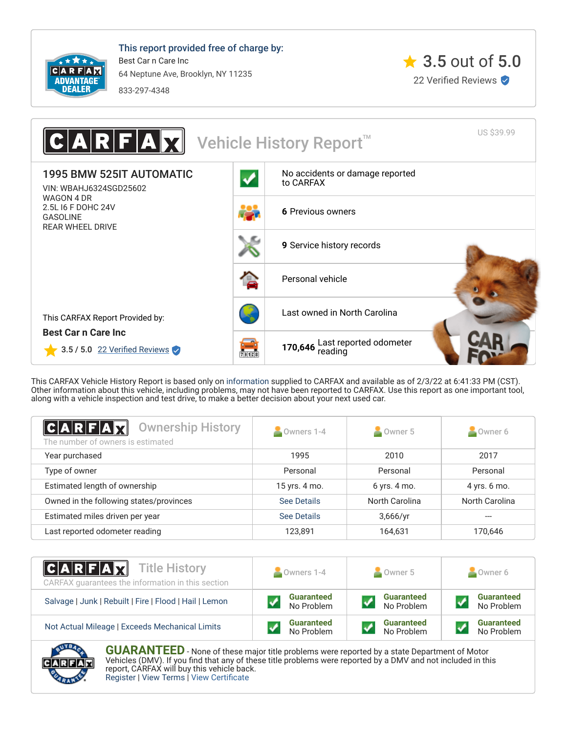

This report provided free of charge by: Best Car n Care Inc 64 Neptune Ave, Brooklyn, NY 11235 833-297-4348





This CARFAX Vehicle History Report is based only on [information](http://www.carfax.com/company/vhr-data-sources) supplied to CARFAX and available as of 2/3/22 at 6:41:33 PM (CST). Other information about this vehicle, including problems, may not have been reported to CARFAX. Use this report as one important tool, along with a vehicle inspection and test drive, to make a better decision about your next used car.

<span id="page-0-0"></span>

| $ C A R F A \vec{r}$<br><b>Ownership History</b><br>The number of owners is estimated | Owners 1-4    | Owner 5        | Owner 6        |
|---------------------------------------------------------------------------------------|---------------|----------------|----------------|
|                                                                                       |               |                |                |
| Year purchased                                                                        | 1995          | 2010           | 2017           |
| Type of owner                                                                         | Personal      | Personal       | Personal       |
| Estimated length of ownership                                                         | 15 yrs. 4 mo. | 6 yrs. 4 mo.   | 4 yrs. 6 mo.   |
| Owned in the following states/provinces                                               | See Details   | North Carolina | North Carolina |
| Estimated miles driven per year                                                       | See Details   | 3,666/yr       |                |
| Last reported odometer reading                                                        | 123,891       | 164,631        | 170,646        |

| <b>CARFAX</b> Title History<br>CARFAX guarantees the information in this section | Owners 1-4        | $\bullet$ Owner 5 | Owner 6           |
|----------------------------------------------------------------------------------|-------------------|-------------------|-------------------|
| Salvage   Junk   Rebuilt   Fire   Flood   Hail   Lemon                           | <b>Guaranteed</b> | <b>Guaranteed</b> | <b>Guaranteed</b> |
|                                                                                  | No Problem        | No Problem        | No Problem        |
| Not Actual Mileage   Exceeds Mechanical Limits                                   | <b>Guaranteed</b> | <b>Guaranteed</b> | <b>Guaranteed</b> |
|                                                                                  | No Problem        | No Problem        | No Problem        |



**GUARANTEED** - None of these major title problems were reported by a state Department of Motor Vehicles (DMV). If you find that any of these title problems were reported by a DMV and not included in this report, CARFAX will buy this vehicle back. [Register](https://www.carfax.com/Service/bbg) | [View Terms](http://www.carfaxonline.com/legal/bbgTerms) | [View Certificate](https://www.carfaxonline.com/vhrs/WBAHJ6324SGD25602)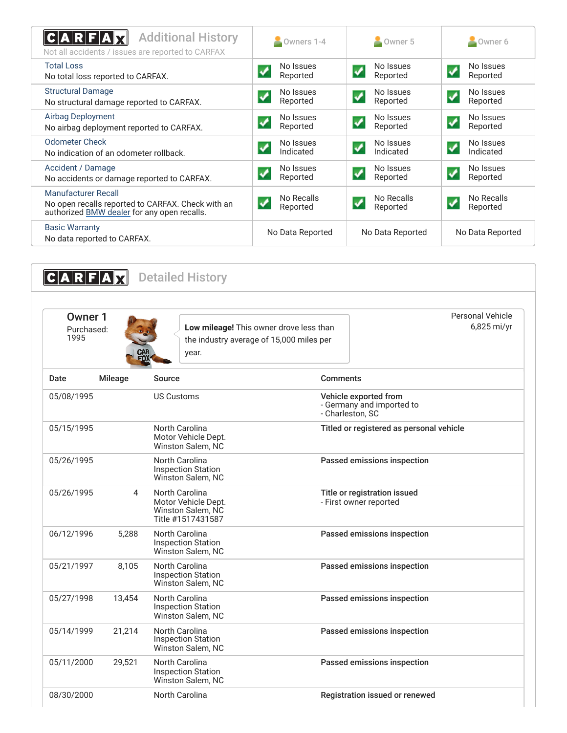<span id="page-1-0"></span>

| <b>Additional History</b><br>$\textbf{C} \textbf{A} \textbf{R} \textbf{F} \textbf{A} $<br>Not all accidents / issues are reported to CARFAX | Owners 1-4                                    | $\sim$ Owner 5                                   | Owner 6                                              |
|---------------------------------------------------------------------------------------------------------------------------------------------|-----------------------------------------------|--------------------------------------------------|------------------------------------------------------|
| <b>Total Loss</b><br>No total loss reported to CARFAX.                                                                                      | No Issues<br>Reported                         | No Issues<br>ᢦ<br>Reported                       | No Issues<br>✔<br>Reported                           |
| <b>Structural Damage</b><br>No structural damage reported to CARFAX.                                                                        | No Issues<br>$\blacktriangledown$<br>Reported | No Issues<br>$\blacktriangledown$<br>Reported    | No Issues<br>$\boldsymbol{J}$<br>Reported            |
| <b>Airbag Deployment</b><br>No airbag deployment reported to CARFAX.                                                                        | No Issues<br>Reported                         | No Issues<br>$\checkmark$<br>Reported            | No Issues<br>$\blacktriangledown$<br>Reported        |
| <b>Odometer Check</b><br>No indication of an odometer rollback.                                                                             | No Issues<br>Indicated                        | No Issues<br>✔<br>Indicated                      | No Issues<br>$\boldsymbol{\mathcal{J}}$<br>Indicated |
| Accident / Damage<br>No accidents or damage reported to CARFAX.                                                                             | No Issues<br>$\blacktriangledown$<br>Reported | No Issues<br>$\overline{\mathbf{v}}$<br>Reported | No Issues<br>$\boldsymbol{J}$<br>Reported            |
| Manufacturer Recall<br>No open recalls reported to CARFAX. Check with an<br>authorized BMW dealer for any open recalls.                     | No Recalls<br>✓<br>Reported                   | No Recalls<br>$\blacktriangledown$<br>Reported   | No Recalls<br>$\blacktriangledown$<br>Reported       |
| <b>Basic Warranty</b><br>No data reported to CARFAX.                                                                                        | No Data Reported                              | No Data Reported                                 | No Data Reported                                     |

<span id="page-1-2"></span><span id="page-1-1"></span>**CARFAX** Detailed History Owner 1 Purchased: 1995 **Low mileage!** This owner drove less than the industry average of 15,000 miles per year. Personal Vehicle 6,825 mi/yr Date Mileage Source **Comments** 05/08/1995 US Customs Vehicle exported from - Germany and imported to - Charleston, SC 05/15/1995 North Carolina Motor Vehicle Dept. Winston Salem, NC Titled or registered as personal vehicle 05/26/1995 North Carolina Inspection Station Winston Salem, NC Passed emissions inspection 05/26/1995 4 North Carolina Motor Vehicle Dept. Winston Salem, NC Title #1517431587 Title or registration issued - First owner reported 06/12/1996 5,288 North Carolina Inspection Station Winston Salem, NC Passed emissions inspection 05/21/1997 8,105 North Carolina Inspection Station Winston Salem, NC Passed emissions inspection 05/27/1998 13,454 North Carolina Inspection Station Winston Salem, NC Passed emissions inspection 05/14/1999 21,214 North Carolina Inspection Station Winston Salem, NC Passed emissions inspection 05/11/2000 29,521 North Carolina Inspection Station Winston Salem, NC Passed emissions inspection 08/30/2000 North Carolina Registration issued or renewed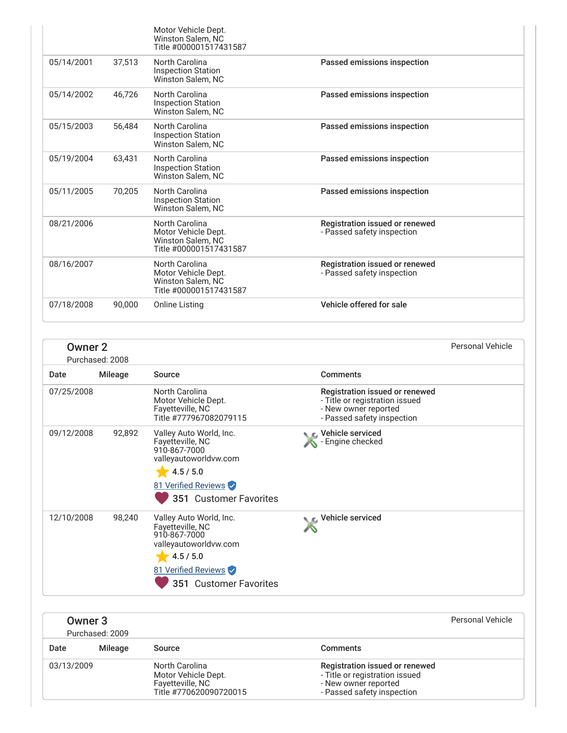|            |        | Motor Vehicle Dept.<br>Winston Salem, NC<br>Title #000001517431587                          |                                                              |
|------------|--------|---------------------------------------------------------------------------------------------|--------------------------------------------------------------|
| 05/14/2001 | 37.513 | North Carolina<br><b>Inspection Station</b><br><b>Winston Salem, NC</b>                     | Passed emissions inspection                                  |
| 05/14/2002 | 46.726 | North Carolina<br><b>Inspection Station</b><br><b>Winston Salem, NC</b>                     | Passed emissions inspection                                  |
| 05/15/2003 | 56.484 | North Carolina<br><b>Inspection Station</b><br><b>Winston Salem, NC</b>                     | Passed emissions inspection                                  |
| 05/19/2004 | 63,431 | North Carolina<br><b>Inspection Station</b><br>Winston Salem, NC                            | Passed emissions inspection                                  |
| 05/11/2005 | 70,205 | North Carolina<br><b>Inspection Station</b><br>Winston Salem, NC                            | Passed emissions inspection                                  |
| 08/21/2006 |        | North Carolina<br>Motor Vehicle Dept.<br><b>Winston Salem, NC</b><br>Title #000001517431587 | Registration issued or renewed<br>- Passed safety inspection |
| 08/16/2007 |        | North Carolina<br>Motor Vehicle Dept.<br>Winston Salem, NC<br>Title #000001517431587        | Registration issued or renewed<br>- Passed safety inspection |
| 07/18/2008 | 90.000 | Online Listing                                                                              | Vehicle offered for sale                                     |

| <b>Owner 2</b> | Purchased: 2008 |                                                                                                                                                    |                                                                                                                        | <b>Personal Vehicle</b> |
|----------------|-----------------|----------------------------------------------------------------------------------------------------------------------------------------------------|------------------------------------------------------------------------------------------------------------------------|-------------------------|
| Date           | <b>Mileage</b>  | Source                                                                                                                                             | Comments                                                                                                               |                         |
| 07/25/2008     |                 | <b>North Carolina</b><br>Motor Vehicle Dept.<br>Fayetteville, NC<br>Title #777967082079115                                                         | Registration issued or renewed<br>- Title or registration issued<br>- New owner reported<br>- Passed safety inspection |                         |
| 09/12/2008     | 92,892          | Valley Auto World, Inc.<br>Fayetteville, NC<br>910-867-7000<br>valleyautoworldvw.com<br>4.5 / 5.0<br>81 Verified Reviews<br>351 Customer Favorites | ← Vehicle serviced<br>- Engine checked                                                                                 |                         |
| 12/10/2008     | 98,240          | Valley Auto World, Inc.<br>Fayetteville, NC<br>910-867-7000<br>valleyautoworldvw.com<br>4.5 / 5.0<br>81 Verified Reviews<br>351 Customer Favorites | Vehicle serviced                                                                                                       |                         |

| Owner 3    | Purchased: 2009 |                                                                                     |                                                                                                                        | Personal Vehicle |
|------------|-----------------|-------------------------------------------------------------------------------------|------------------------------------------------------------------------------------------------------------------------|------------------|
| Date       | Mileage         | Source                                                                              | <b>Comments</b>                                                                                                        |                  |
| 03/13/2009 |                 | North Carolina<br>Motor Vehicle Dept.<br>Fayetteville, NC<br>Title #770620090720015 | Registration issued or renewed<br>- Title or registration issued<br>- New owner reported<br>- Passed safety inspection |                  |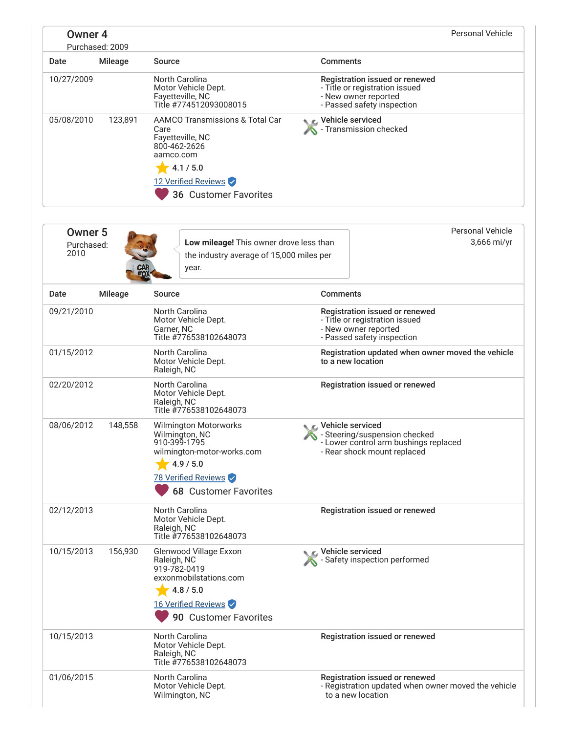| <b>Owner 4</b>                       | Purchased: 2009 |                                                                                                                                                                  |                                                                                                                             | <b>Personal Vehicle</b>                             |
|--------------------------------------|-----------------|------------------------------------------------------------------------------------------------------------------------------------------------------------------|-----------------------------------------------------------------------------------------------------------------------------|-----------------------------------------------------|
| Date                                 | Mileage         | Source                                                                                                                                                           | <b>Comments</b>                                                                                                             |                                                     |
| 10/27/2009                           |                 | <b>North Carolina</b><br>Motor Vehicle Dept.<br>Fayetteville, NC<br>Title #774512093008015                                                                       | Registration issued or renewed<br>- Title or registration issued<br>- New owner reported<br>- Passed safety inspection      |                                                     |
| 05/08/2010                           | 123,891         | <b>AAMCO Transmissions &amp; Total Car</b><br>Care<br>Fayetteville, NC<br>800-462-2626<br>aamco.com<br>4.1 / 5.0<br>12 Verified Reviews<br>36 Customer Favorites | <b>NE</b> Vehicle serviced<br>Transmission checked                                                                          |                                                     |
| <b>Owner 5</b><br>Purchased:<br>2010 |                 | Low mileage! This owner drove less than<br>the industry average of 15,000 miles per<br>year.<br>EO)                                                              |                                                                                                                             | <b>Personal Vehicle</b><br>3,666 mi/yr              |
| Date                                 | Mileage         | Source                                                                                                                                                           | <b>Comments</b>                                                                                                             |                                                     |
| 09/21/2010                           |                 | North Carolina<br>Motor Vehicle Dept.<br>Garner, NC<br>Title #776538102648073                                                                                    | Registration issued or renewed<br>- Title or registration issued<br>- New owner reported<br>- Passed safety inspection      |                                                     |
| 01/15/2012                           |                 | North Carolina<br>Motor Vehicle Dept.<br>Raleigh, NC                                                                                                             | to a new location                                                                                                           | Registration updated when owner moved the vehicle   |
| 02/20/2012                           |                 | North Carolina<br>Motor Vehicle Dept.<br>Raleigh, NC<br>Title #776538102648073                                                                                   | Registration issued or renewed                                                                                              |                                                     |
| 08/06/2012                           | 148,558         | <b>Wilmington Motorworks</b><br>Wilmington, NC<br>910-399-1795<br>wilmington-motor-works.com<br>4.9 / 5.0<br>78 Verified Reviews<br><b>68 Customer Favorites</b> | C Vehicle serviced<br>- Steering/suspension checked<br>- Lower control arm bushings replaced<br>- Rear shock mount replaced |                                                     |
| 02/12/2013                           |                 | North Carolina<br>Motor Vehicle Dept.<br>Raleigh, NC<br>Title #776538102648073                                                                                   | Registration issued or renewed                                                                                              |                                                     |
| 10/15/2013                           | 156,930         | Glenwood Village Exxon<br>Raleigh, NC<br>919-782-0419<br>exxonmobilstations.com<br>4.8 / 5.0<br>16 Verified Reviews<br>90 Customer Favorites                     | <b>€</b> Vehicle serviced<br>- Safety inspection performed                                                                  |                                                     |
| 10/15/2013                           |                 | North Carolina<br>Motor Vehicle Dept.<br>Raleigh, NC<br>Title #776538102648073                                                                                   | Registration issued or renewed                                                                                              |                                                     |
| 01/06/2015                           |                 | North Carolina<br>Motor Vehicle Dept.                                                                                                                            | Registration issued or renewed                                                                                              | - Registration updated when owner moved the vehicle |

to a new location

Wilmington, NC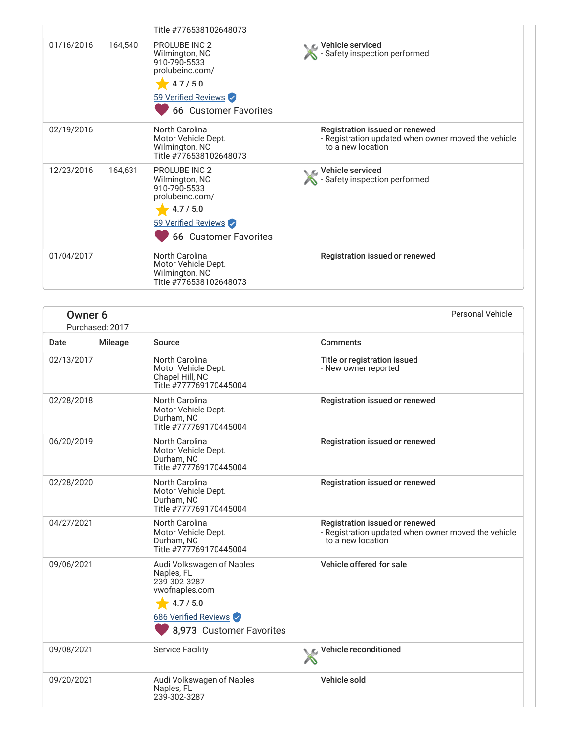|            |         | Title #776538102648073                                                                                                                        |                                                                                                            |
|------------|---------|-----------------------------------------------------------------------------------------------------------------------------------------------|------------------------------------------------------------------------------------------------------------|
| 01/16/2016 | 164,540 | <b>PROLUBE INC 2</b><br>Wilmington, NC<br>910-790-5533<br>prolubeinc.com/<br>4.7 / 5.0<br>59 Verified Reviews<br><b>66 Customer Favorites</b> | Vehicle serviced<br>Safety inspection performed                                                            |
| 02/19/2016 |         | North Carolina<br>Motor Vehicle Dept.<br>Wilmington, NC<br>Title #776538102648073                                                             | Registration issued or renewed<br>- Registration updated when owner moved the vehicle<br>to a new location |
| 12/23/2016 | 164,631 | <b>PROLUBE INC 2</b><br>Wilmington, NC<br>910-790-5533<br>prolubeinc.com/<br>4.7 / 5.0<br>59 Verified Reviews<br><b>66 Customer Favorites</b> | ic⊾ Vehicle serviced<br>Safety inspection performed                                                        |
| 01/04/2017 |         | <b>North Carolina</b><br>Motor Vehicle Dept.<br>Wilmington, NC<br>Title #776538102648073                                                      | Registration issued or renewed                                                                             |

| Owner 6    | Purchased: 2017 |                                                                                        | <b>Personal Vehicle</b>                                                                                    |
|------------|-----------------|----------------------------------------------------------------------------------------|------------------------------------------------------------------------------------------------------------|
| Date       | Mileage         | Source                                                                                 | <b>Comments</b>                                                                                            |
| 02/13/2017 |                 | North Carolina<br>Motor Vehicle Dept.<br>Chapel Hill, NC<br>Title #777769170445004     | Title or registration issued<br>- New owner reported                                                       |
| 02/28/2018 |                 | <b>North Carolina</b><br>Motor Vehicle Dept.<br>Durham, NC<br>Title #777769170445004   | Registration issued or renewed                                                                             |
| 06/20/2019 |                 | <b>North Carolina</b><br>Motor Vehicle Dept.<br>Durham, NC<br>Title #777769170445004   | Registration issued or renewed                                                                             |
| 02/28/2020 |                 | North Carolina<br>Motor Vehicle Dept.<br>Durham, NC<br>Title #777769170445004          | Registration issued or renewed                                                                             |
| 04/27/2021 |                 | North Carolina<br>Motor Vehicle Dept.<br>Durham, NC<br>Title #777769170445004          | Registration issued or renewed<br>- Registration updated when owner moved the vehicle<br>to a new location |
| 09/06/2021 |                 | Audi Volkswagen of Naples<br>Naples, FL<br>239-302-3287<br>vwofnaples.com<br>4.7 / 5.0 | Vehicle offered for sale                                                                                   |
|            |                 | 686 Verified Reviews                                                                   |                                                                                                            |
|            |                 | 8,973 Customer Favorites                                                               |                                                                                                            |
| 09/08/2021 |                 | <b>Service Facility</b>                                                                | Vehicle reconditioned                                                                                      |
| 09/20/2021 |                 | Audi Volkswagen of Naples<br>Naples, FL<br>239-302-3287                                | Vehicle sold                                                                                               |